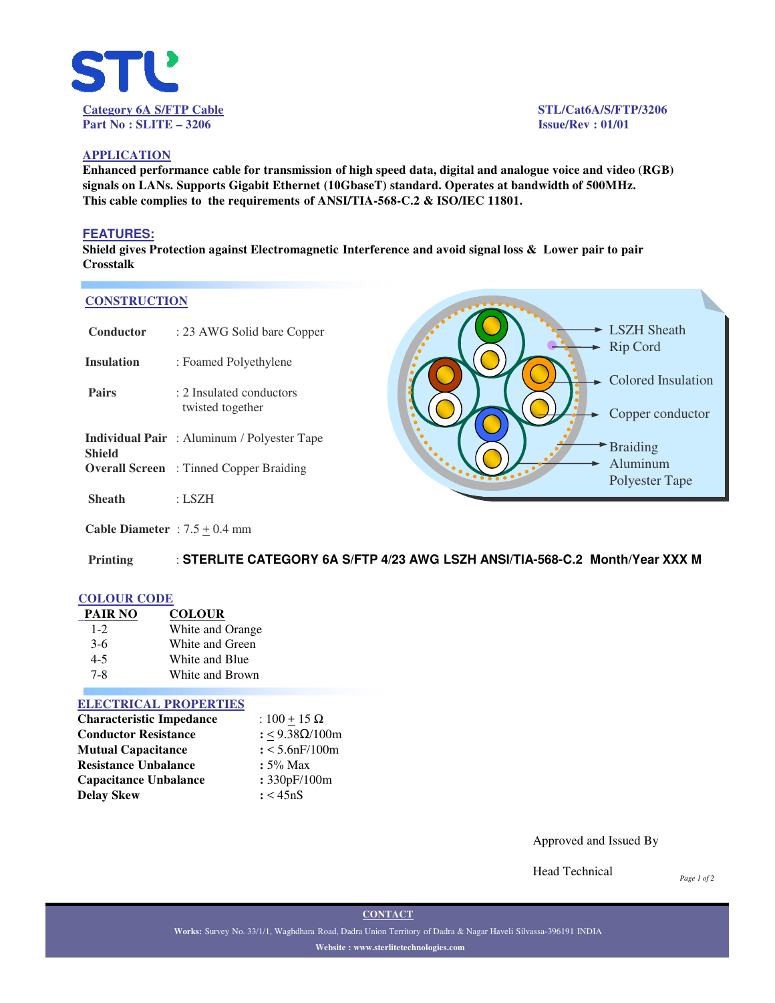

**- LSZH Sheath** Rip Cord

**►** Colored Insulation

Copper conductor

Braiding Aluminum Polyester Tape

## **APPLICATION**

**Enhanced performance cable for transmission of high speed data, digital and analogue voice and video (RGB) signals on LANs. Supports Gigabit Ethernet (10GbaseT) standard. Operates at bandwidth of 500MHz. This cable complies to the requirements of ANSI/TIA-568-C.2 & ISO/IEC 11801.**

### **FEATURES:**

**Shield gives Protection against Electromagnetic Interference and avoid signal loss & Lower pair to pair Crosstalk**

#### **CONSTRUCTION**

| Conductor         | : 23 AWG Solid bare Copper                         |
|-------------------|----------------------------------------------------|
| <b>Insulation</b> | : Foamed Polyethylene                              |
| <b>Pairs</b>      | : 2 Insulated conductors<br>twisted together       |
| Shield            | <b>Individual Pair</b> : Aluminum / Polyester Tape |
|                   | <b>Overall Screen</b> : Tinned Copper Braiding     |
| Sheath            | : LSZH                                             |

**Cable Diameter** :  $7.5 \pm 0.4$  mm

**Printing** : **STERLITE CATEGORY 6A S/FTP 4/23 AWG LSZH ANSI/TIA-568-C.2 Month/Year XXX M**

## **COLOUR CODE**

| <b>PAIR NO</b> | <b>COLOUR</b>    |
|----------------|------------------|
| $1 - 2$        | White and Orange |
| $3-6$          | White and Green  |
| $4 - 5$        | White and Blue   |
| 7-8            | White and Brown  |

#### **ELECTRICAL PROPERTIES**

| <b>Characteristic Impedance</b> | : $100 + 15 \Omega$ |  |  |
|---------------------------------|---------------------|--|--|
| <b>Conductor Resistance</b>     | : <9.38Ω/100m       |  |  |
| <b>Mutual Capacitance</b>       | $: < 5.6$ nF/100m   |  |  |
| <b>Resistance Unbalance</b>     | $: 5\%$ Max         |  |  |
| <b>Capacitance Unbalance</b>    | : 330pF/100m        |  |  |
| Delay Skew                      | : < 45nS            |  |  |

Approved and Issued By

Head Technical

*Page 1 of 2*

**CONTACT**

**Works:** Survey No. 33/1/1, Waghdhara Road, Dadra Union Territory of Dadra & Nagar Haveli Silvassa-396191 INDIA **Website : www.sterlitetechnologies.com**